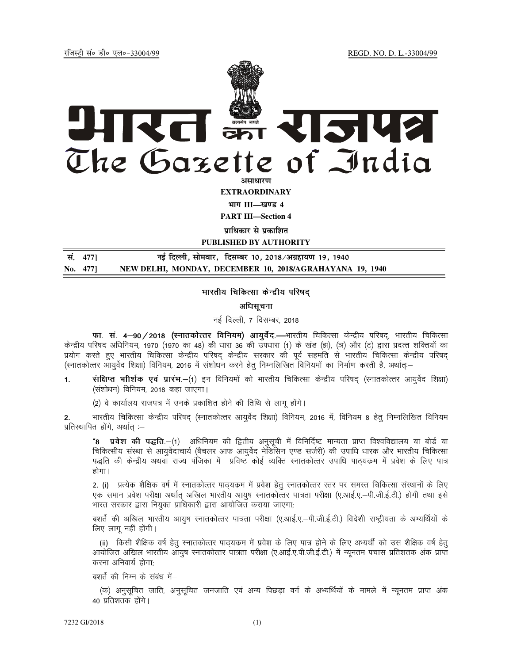jftLVªh laö Mhö ,yö&33004@99 REGD. NO. D. L.-33004/99



**EXTRAORDINARY**

**Hkkx III—[k.M 4 PART III—Section 4** 

**<u>पाधिकार से पकाशित</u>** 

**PUBLISHED BY AUTHORITY**

| सं. 477] | नई दिल्ली, सोमवार,  दिसम्बर 10, 2018/अग्रहायण 19, 1940   |
|----------|----------------------------------------------------------|
| No. 477  | NEW DELHI, MONDAY, DECEMBER 10, 2018/AGRAHAYANA 19, 1940 |

## भारतीय चिकित्सा केन्द्रीय परिषद

#### अधिसचना

### नई दिल्ली, 7 दिसम्बर, 2018

फा. सं. 4-90/2018 (स्नातकोत्तर विनियम) आयुर्वेद.—भारतीय चिकित्सा केन्द्रीय परिषद्, भारतीय चिकित्सा केन्द्रीय परिषद अधिनियम, 1970 (1970 का 48) की धारा 36 की उपधारा (1) के खंड (झ), (ञ) और (ट) द्वारा प्रदत्त शक्तियों का प्रयोग करते हुए भारतीय चिकित्सा केन्द्रीय परिषद केन्द्रीय सरकार की पूर्व सहमति से भारतीय चिकित्सा केन्द्रीय परिषद (स्नातकोत्तर आयुर्वेद शिक्षा) विनियम, 2016 में संशोधन करने हेतु निम्नलिखित विनियमों का निर्माण करती है, अर्थातः—

1. संक्षिप्त भौर्शिक एवं प्रारंभ.—(1) इन विनियमों को भारतीय चिकित्सा केन्द्रीय परिषद (स्नातकोत्तर आयुर्वेद शिक्षा) (संशोधन) विनियम, 2018 कहा जाएगा।

(2) वे कार्यालय राजपत्र में उनके प्रकाशित होने की तिथि से लागू होंगे।

भारतीय चिकित्सा केन्द्रीय परिषद (स्नातकोत्तर आयुर्वेद शिक्षा) विनियम, 2016 में, विनियम 8 हेतु निम्नलिखित विनियम प्रतिस्थापित होंगे, अर्थात :-

"8 प्रवेश की पद्धति. $-(1)$  अधिनियम की द्वितीय अनुसूची में विनिर्दिष्ट मान्यता प्राप्त विश्वविद्यालय या बोर्ड या चिकित्सीय संस्था से आयुर्वेदाचार्य (बैचलर आफ आयुर्वेद मेडिसिन एण्ड सर्जरी) की उपाधि धारक और भारतीय चिकित्सा पद्धति की केन्द्रीय अथवा राज्य पंजिका में प्रविष्ट कोई व्यक्ति स्नातकोत्तर उपाधि पाठ्यकम में प्रवेश के लिए पात्र होगा।

2. (i) ) प्रत्येक शैक्षिक वर्ष में स्नातकोत्तर पाठयकम में प्रवेश हेतु स्नातकोत्तर स्तर पर समस्त चिकित्सा संस्थानों के लिए एक समान प्रवेश परीक्षा अर्थात अखिल भारतीय आयुष स्नातकोत्तर पात्रता परीक्षा (ए.आई.ए.-पी.जी.ई.टी.) होगी तथा इसे भारत सरकार द्वारा नियुक्त प्राधिकारी द्वारा आयोजित कराया जाएगा;

बशर्ते की अखिल भारतीय आयुष स्नातकोत्तर पात्रता परीक्षा (ए.आई.ए.–पी.जी.ई.टी.) विदेशी राष्ट्रीयता के अभ्यर्थियों के लिए लागू नहीं होंगी।

(ii) किसी शैक्षिक वर्ष हेतु स्नातकोत्तर पाठ्यकम में प्रवेश के लिए पात्र होने के लिए अभ्यर्थी को उस शैक्षिक वर्ष हेतु आयोजित अखिल भारतीय आयुष स्नातकोत्तर पात्रता परीक्षा (ए.आई.ए.पी.जी.ई.टी.) में न्यूनतम पचास प्रतिशतक अंक प्राप्त करना अनिवार्य होगा;

बशर्ते की निम्न के संबंध में–

(क) अनुसुचित जाति, अनुसुचित जनजाति एवं अन्य पिछड़ा वर्ग के अभ्यर्थियों के मामले में न्यूनतम प्राप्त अंक 40 प्रतिशतक होंगे।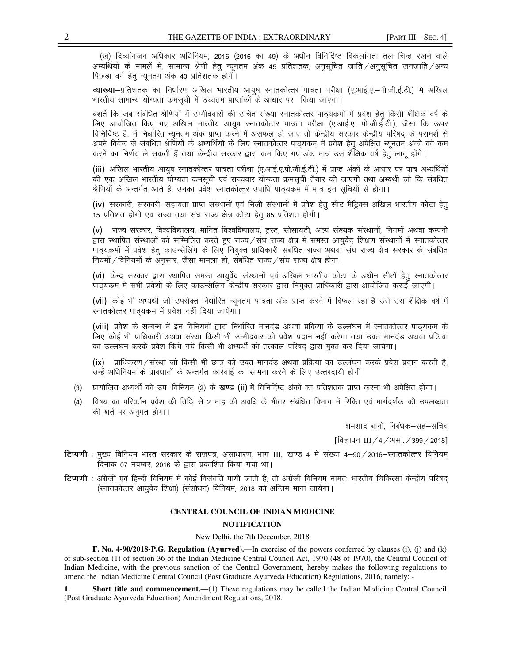(ख) दिव्यांगजन अधिकार अधिनियम, 2016 (2016 का 49) के अधीन विनिर्दिष्ट विकलांगता तल चिन्ह रखने वाले अभ्यर्थियों के मामलें में, सामान्य श्रेणी हेतु न्यूनतम अंक 45 प्रतिशतक, अनुसूचित जाति ⁄ अनुसूचित जनजाति ⁄ अन्य पिछड़ा वर्ग हेतू न्यूनतम अंक 40 प्रतिशतक होगें।

व्याख्या-प्रतिशतक का निर्धारण अखिल भारतीय आयुष स्नातकोत्तर पात्रता परीक्षा (ए.आई.ए.–पी.जी.ई.टी.) मे अखिल भारतीय सामान्य योग्यता कमसूची में उच्चतम प्राप्तांकों के आधार पर किया जाएगा।

बशर्ते कि जब संबंधित श्रेणियों में उम्मीदवारों की उचित संख्या स्नातकोत्तर पाठ्यकमों में प्रवेश हेतु किसी शैक्षिक वर्ष के लिए आयोजित किए गए अखिल भारतीय आयुष स्नातकोत्तर पात्रता परीक्षा (ए.आई.ए.–पी.जी.ई.टी.), जैसा कि ऊपर विनिर्दिष्ट है, में निर्धारित न्यूनतम अंक प्राप्त करने में असफल हो जाए तो केन्द्रीय सरकार केन्द्रीय परिषद् के परामर्श से अपने विवेक से संबंधित श्रेणियों के अभ्यर्थियों के लिए स्नातकोत्तर पाठ्यकम में प्रवेश हेतू अपेक्षित न्यूनतम अंको को कम करने का निर्णय ले सकती हैं तथा केन्द्रीय सरकार द्वारा कम किए गए अंक मात्र उस शैक्षिक वर्ष हेतु लागू होंगे।

(iii) अखिल भारतीय आयुष स्नातकोत्तर पात्रता परीक्षा (ए.आई.ए.पी.जी.ई.टी.) में प्राप्त अंकों के आधार पर पात्र अभ्यर्थियों की एक अखिल भारतीय योग्यता कमसूची एवं राज्यवार योग्यता क्रमसूची तैयार की जाएगी तथा अभ्यर्थी जो कि संबंधित श्रेणियों के अन्तर्गत आते है, उनका प्रवेश स्नातकोत्तर उपाधि पाठ्यकम में मात्र इन सूचियों से होगा।

(iv) सरकारी, सरकारी-सहायता प्राप्त संस्थानों एवं निजी संस्थानों में प्रवेश हेतू सीट मैट्रिक्स अखिल भारतीय कोटा हेतू 15 प्रतिशत होगी एवं राज्य तथा संघ राज्य क्षेत्र कोटा हेतु 85 प्रतिशत होगी।

(v) राज्य सरकार, विश्वविद्यालय, मानित विश्वविद्यालय, ट्रस्ट, सोसायटी, अल्प संख्यक संस्थानों, निगमों अथवा कम्पनी .<br>द्वारा स्थापित संस्थाओं को सम्मिलित करते हुए राज्य ⁄ संघ राज्य क्षेत्र में समस्त आयुर्वेद शिक्षण संस्थानों में स्नातकोत्तर .<br>पाठयक्रमों में प्रवेश हेतू काउन्सेलिंग के लिए नियुक्त प्राधिकारी संबंधित राज्य अथवा संघ राज्य क्षेत्र सरकार के संबंधित नियमों / विनियमों के अनुसार, जैसा मामला हो, संबंधित राज्य / संघ राज्य क्षेत्र होगा।

(vi) केन्द्र सरकार द्वारा स्थापित समस्त आयुर्वेद संस्थानों एवं अखिल भारतीय कोटा के अधीन सीटों हेतु स्नातकोत्तर पाठ्यकम में सभी प्रवेशों के लिए काउन्सेलिंग केन्द्रीय सरकार द्वारा नियुक्त प्राधिकारी द्वारा आयोजित कराई जाएगी।

(vii) कोई भी अभ्यर्थी जो उपरोक्त निर्धारित न्यूनतम पात्रता अंक प्राप्त करने में विफल रहा है उसे उस शैक्षिक वर्ष में रनातकोत्तर पाठयकम में प्रवेश नहीं दिया जायेगा।

(viii) प्रवेश के सम्बन्ध में इन विनियमों द्वारा निर्धारित मानदंड अथवा प्रकिया के उल्लंघन में स्नातकोत्तर पाठयकम के लिए कोई भी प्राधिकारी अथवा संस्था किसी भी उम्मीदवार को प्रवेश प्रदान नहीं करेगा तथा उक्त मानदंड अथवा प्रक्रिया का उल्लंघन करके प्रवेश किये गये किसी भी अभ्यर्थी को तत्काल परिषद द्वारा मक्त कर दिया जायेगा।

(ix) प्राधिकरण / संस्था जो किसी भी छात्र को उक्त मानदंड अथवा प्रक्रिया का उल्लंघन करके प्रवेश प्रदान करती है, उन्हें अधिनियम के प्रावधानों के अन्तर्गत कार्रवाई का सामना करने के लिए उत्तरदायी होगी।

- प्रायोजित अभ्यर्थी को उप–विनियम (2) के खण्ड (ii) में विनिर्दिष्ट अंको का प्रतिशतक प्राप्त करना भी अपेक्षित होगा।  $(3)$
- विषय का परिवर्तन प्रवेश की तिथि से 2 माह की अवधि के भीतर संबंधित विभाग में रिक्ति एवं मार्गदर्शक की उपलब्धता  $(4)$ की शर्त पर अनुमत होगा।

शमशाद बानो, निबंधक–सह–सचिव

[विज्ञापन III / 4 / असा. / 399 / 2018]

- टिप्पणी : मुख्य विनियम भारत सरकार के राजपत्र, असाधारण, भाग III, खण्ड 4 में संख्या 4-90 / 2016-स्नातकोत्तर विनियम दिनांक 07 नवम्बर. 2016 के द्वारा प्रकाशित किया गया था।
- टिप्पणी : अंग्रेजी एवं हिन्दी विनियम में कोई विसंगति पायी जाती है, तो अग्रेंजी विनियम नामतः भारतीय चिकित्सा केन्द्रीय परिषद् (स्नातकोत्तर आयुर्वेद शिक्षा) (संशोधन) विनियम, 2018 को अन्तिम माना जायेगा।

# **CENTRAL COUNCIL OF INDIAN MEDICINE NOTIFICATION**

New Delhi, the 7th December, 2018

F. No. 4-90/2018-P.G. Regulation (Ayurved).—In exercise of the powers conferred by clauses (i), (j) and (k) of sub-section (1) of section 36 of the Indian Medicine Central Council Act, 1970 (48 of 1970), the Central Council of Indian Medicine, with the previous sanction of the Central Government, hereby makes the following regulations to amend the Indian Medicine Central Council (Post Graduate Ayurveda Education) Regulations, 2016, namely: -

1. Short title and commencement.—(1) These regulations may be called the Indian Medicine Central Council (Post Graduate Ayurveda Education) Amendment Regulations, 2018.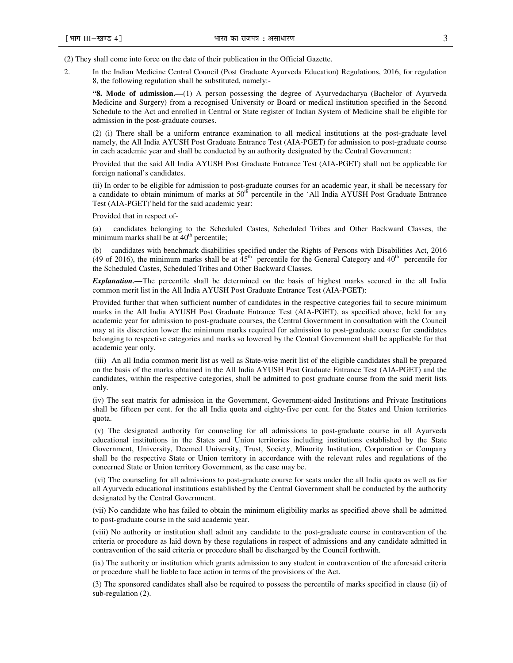(2) They shall come into force on the date of their publication in the Official Gazette.

2. In the Indian Medicine Central Council (Post Graduate Ayurveda Education) Regulations, 2016, for regulation 8, the following regulation shall be substituted, namely:-

**"8. Mode of admission.—**(1) A person possessing the degree of Ayurvedacharya (Bachelor of Ayurveda Medicine and Surgery) from a recognised University or Board or medical institution specified in the Second Schedule to the Act and enrolled in Central or State register of Indian System of Medicine shall be eligible for admission in the post-graduate courses.

(2) (i) There shall be a uniform entrance examination to all medical institutions at the post-graduate level namely, the All India AYUSH Post Graduate Entrance Test (AIA-PGET) for admission to post-graduate course in each academic year and shall be conducted by an authority designated by the Central Government:

Provided that the said All India AYUSH Post Graduate Entrance Test (AIA-PGET) shall not be applicable for foreign national's candidates.

(ii) In order to be eligible for admission to post-graduate courses for an academic year, it shall be necessary for a candidate to obtain minimum of marks at 50<sup>th</sup> percentile in the 'All India AYUSH Post Graduate Entrance Test (AIA-PGET)'held for the said academic year:

Provided that in respect of-

(a) candidates belonging to the Scheduled Castes, Scheduled Tribes and Other Backward Classes, the minimum marks shall be at  $40<sup>th</sup>$  percentile;

(b) candidates with benchmark disabilities specified under the Rights of Persons with Disabilities Act, 2016 (49 of 2016), the minimum marks shall be at  $45<sup>th</sup>$  percentile for the General Category and  $40<sup>th</sup>$  percentile for the Scheduled Castes, Scheduled Tribes and Other Backward Classes.

*Explanation.—*The percentile shall be determined on the basis of highest marks secured in the all India common merit list in the All India AYUSH Post Graduate Entrance Test (AIA-PGET):

Provided further that when sufficient number of candidates in the respective categories fail to secure minimum marks in the All India AYUSH Post Graduate Entrance Test (AIA-PGET), as specified above, held for any academic year for admission to post-graduate courses, the Central Government in consultation with the Council may at its discretion lower the minimum marks required for admission to post-graduate course for candidates belonging to respective categories and marks so lowered by the Central Government shall be applicable for that academic year only.

 (iii) An all India common merit list as well as State-wise merit list of the eligible candidates shall be prepared on the basis of the marks obtained in the All India AYUSH Post Graduate Entrance Test (AIA-PGET) and the candidates, within the respective categories, shall be admitted to post graduate course from the said merit lists only.

(iv) The seat matrix for admission in the Government, Government-aided Institutions and Private Institutions shall be fifteen per cent. for the all India quota and eighty-five per cent. for the States and Union territories quota.

 (v) The designated authority for counseling for all admissions to post-graduate course in all Ayurveda educational institutions in the States and Union territories including institutions established by the State Government, University, Deemed University, Trust, Society, Minority Institution, Corporation or Company shall be the respective State or Union territory in accordance with the relevant rules and regulations of the concerned State or Union territory Government, as the case may be.

 (vi) The counseling for all admissions to post-graduate course for seats under the all India quota as well as for all Ayurveda educational institutions established by the Central Government shall be conducted by the authority designated by the Central Government.

(vii) No candidate who has failed to obtain the minimum eligibility marks as specified above shall be admitted to post-graduate course in the said academic year.

(viii) No authority or institution shall admit any candidate to the post-graduate course in contravention of the criteria or procedure as laid down by these regulations in respect of admissions and any candidate admitted in contravention of the said criteria or procedure shall be discharged by the Council forthwith.

(ix) The authority or institution which grants admission to any student in contravention of the aforesaid criteria or procedure shall be liable to face action in terms of the provisions of the Act.

(3) The sponsored candidates shall also be required to possess the percentile of marks specified in clause (ii) of sub-regulation (2).